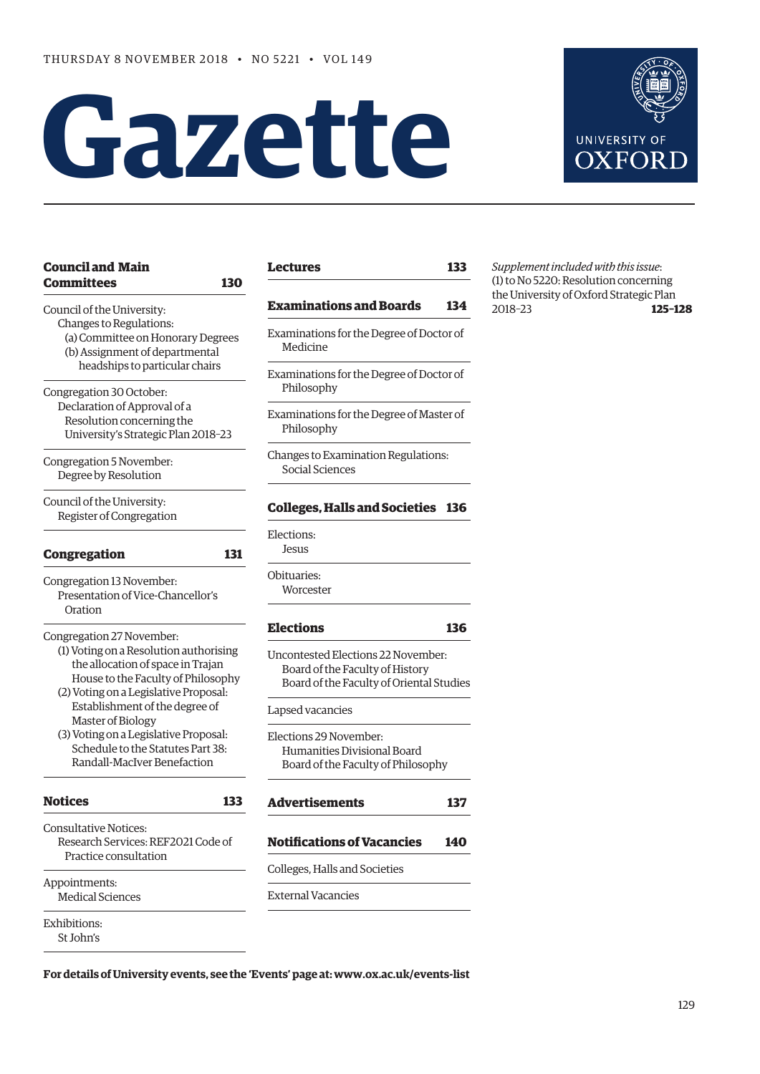# **Gazette**



| <b>Council and Main</b><br><b>Committees</b><br>130                                                                                                        | <b>Lectures</b>                         |
|------------------------------------------------------------------------------------------------------------------------------------------------------------|-----------------------------------------|
| Council of the University:                                                                                                                                 | <b>Examinati</b>                        |
| Changes to Regulations:<br>(a) Committee on Honorary Degrees<br>(b) Assignment of departmental                                                             | Examination<br>Medicine                 |
| headships to particular chairs<br>Congregation 30 October:                                                                                                 | Examination<br>Philosoph                |
| Declaration of Approval of a<br>Resolution concerning the<br>University's Strategic Plan 2018-23                                                           | Examinatior<br>Philosoph                |
| Congregation 5 November:<br>Degree by Resolution                                                                                                           | Changes to E<br>Social Sci              |
| Council of the University:<br>Register of Congregation                                                                                                     | <b>Colleges, I</b>                      |
| <b>Congregation</b><br>131                                                                                                                                 | Elections:<br>Jesus                     |
| Congregation 13 November:<br>Presentation of Vice-Chancellor's<br>Oration                                                                                  | Obituaries:<br>Worcester                |
| Congregation 27 November:                                                                                                                                  | <b>Elections</b>                        |
| (1) Voting on a Resolution authorising<br>the allocation of space in Trajan<br>House to the Faculty of Philosophy<br>(2) Voting on a Legislative Proposal: | Uncontested<br>Board of t<br>Board of t |
| Establishment of the degree of<br>Master of Biology                                                                                                        | Lapsed vacar                            |
| (3) Voting on a Legislative Proposal:<br>Schedule to the Statutes Part 38:<br>Randall-MacIver Benefaction                                                  | Elections 29<br>Humaniti<br>Board of t  |
| <b>Notices</b><br>133                                                                                                                                      | <b>Advertiser</b>                       |
| <b>Consultative Notices:</b><br>Research Services: REF2021 Code of                                                                                         | <b>Notificatio</b>                      |
| Practice consultation                                                                                                                                      | Colleges, Hal                           |
| Appointments:<br><b>Medical Sciences</b>                                                                                                                   | <b>External Vac</b>                     |
| <b>Exhibitions:</b><br>St John's                                                                                                                           |                                         |

**[Lectures](#page-4-0) 133**

# **[Examinations and Boards 134](#page-5-0)**

- ns for the Degree of Doctor of
- ns for the Degree of Doctor of hy
- ns for the Degree of Master of hy

Examination Regulations: ences

# **[Colleges, Halls and Societies 136](#page-7-0)**

Worcester

# **[Elections](#page-7-0) 136**

d Elections 22 November: he Faculty of History he Faculty of Oriental Studies

# ncies

November: ies Divisional Board he Faculty of Philosophy

| <b>Advertisements</b>             | 137 |  |
|-----------------------------------|-----|--|
| <b>Notifications of Vacancies</b> | 140 |  |
| Colleges, Halls and Societies     |     |  |
|                                   |     |  |

ancies

*Supplement included with this issue*: (1) to No 5220: Resolution concerning the University of Oxford Strategic Plan 2018–23 **125–128**

**For details of University events, see the 'Events' page at: [www.ox.ac.uk/events-list](http://www.ox.ac.uk/events-list)**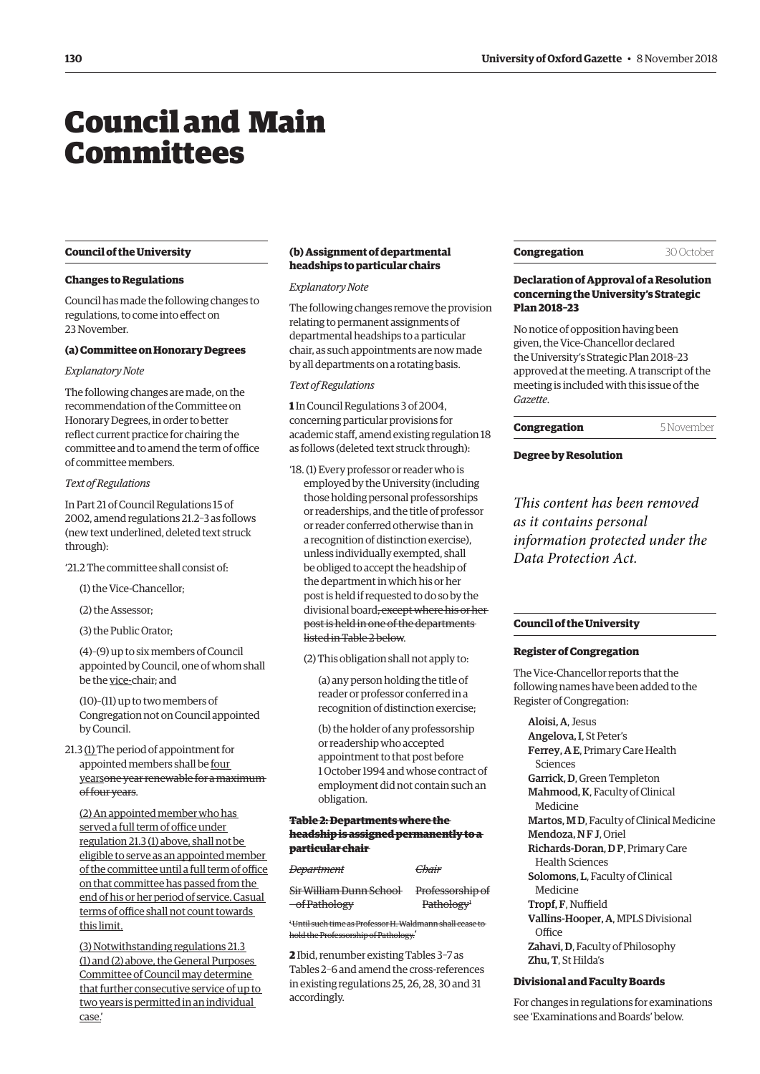# <span id="page-1-0"></span>Council and Main **Committees**

#### **Council of the University**

#### **Changes to Regulations**

Council has made the following changes to regulations, to come into effect on 23 November.

#### **(a) Committee on Honorary Degrees**

#### *Explanatory Note*

The following changes are made, on the recommendation of the Committee on Honorary Degrees, in order to better reflect current practice for chairing the committee and to amend the term of office of committee members.

# *Text of Regulations*

In Part 21 of Council Regulations 15 of 2002, amend regulations 21.2–3 as follows (new text underlined, deleted text struck through):

- '21.2 The committee shall consist of:
	- (1) the Vice-Chancellor;
	- (2) the Assessor;

(3) the Public Orator;

(4)–(9) up to six members of Council appointed by Council, one of whom shall be the vice-chair; and

(10)–(11) up to two members of Congregation not on Council appointed by Council.

21.3 (1) The period of appointment for appointed members shall be four yearsone year renewable for a maximum of four years.

(2) An appointed member who has served a full term of office under regulation 21.3 (1) above, shall not be eligible to serve as an appointed member of the committee until a full term of office on that committee has passed from the end of his or her period of service. Casual terms of office shall not count towards this limit.

(3) Notwithstanding regulations 21.3 (1) and (2) above, the General Purposes Committee of Council may determine that further consecutive service of up to two years is permitted in an individual case.'

# **(b) Assignment of departmental headships to particular chairs**

#### *Explanatory Note*

The following changes remove the provision relating to permanent assignments of departmental headships to a particular chair, as such appointments are now made by all departments on a rotating basis.

# *Text of Regulations*

**1** In Council Regulations 3 of 2004, concerning particular provisions for academic staff, amend existing regulation 18 as follows (deleted text struck through):

'18. (1) Every professor or reader who is employed by the University (including those holding personal professorships or readerships, and the title of professor or reader conferred otherwise than in a recognition of distinction exercise), unless individually exempted, shall be obliged to accept the headship of the department in which his or her post is held if requested to do so by the divisional board, except where his or her post is held in one of the departments listed in Table 2 below.

(2) This obligation shall not apply to:

(a) any person holding the title of reader or professor conferred in a recognition of distinction exercise;

(b) the holder of any professorship or readership who accepted appointment to that post before 1 October 1994 and whose contract of employment did not contain such an obligation.

# **Table 2: Departments where the headship is assigned permanently to a particular chair**

| <del>Department</del>                              | Chair                                      |
|----------------------------------------------------|--------------------------------------------|
| Sir William Dunn School<br><del>of Pathology</del> | Professorship of<br>Pathology <sup>+</sup> |
|                                                    |                                            |

1 Until such time as Professor H. Waldmann shall cease to hold the Professorship of Pathology.'

**2** Ibid, renumber existing Tables 3–7 as Tables 2–6 and amend the cross-references in existing regulations 25, 26, 28, 30 and 31 accordingly.

|  | Congregation |  |
|--|--------------|--|
|  |              |  |
|  |              |  |

#### 30 October

# **Declaration of Approval of a Resolution concerning the University's Strategic Plan 2018–23**

No notice of opposition having been given, the Vice-Chancellor declared the University's Strategic Plan 2018–23 approved at the meeting. A transcript of the meeting is included with this issue of the *Gazette*.

#### **Congregation** 5 November

## **Degree by Resolution**

*This content has been removed as it contains personal information protected under the Data Protection Act.*

# **Council of the University**

#### **Register of Congregation**

The Vice-Chancellor reports that the following names have been added to the Register of Congregation:

Aloisi, A, Jesus Angelova, I, St Peter's Ferrey, A E, Primary Care Health Sciences Garrick, D, Green Templeton Mahmood, K, Faculty of Clinical Medicine Martos, M D, Faculty of Clinical Medicine Mendoza, NF J, Oriel Richards-Doran, D P, Primary Care Health Sciences Solomons, L, Faculty of Clinical Medicine Tropf, F, Nuffield Vallins-Hooper, A, MPLS Divisional **Office** Zahavi, D, Faculty of Philosophy Zhu, T, St Hilda's

#### **Divisional and Faculty Boards**

For changes in regulations for examinations see 'Examinations and Boards' below.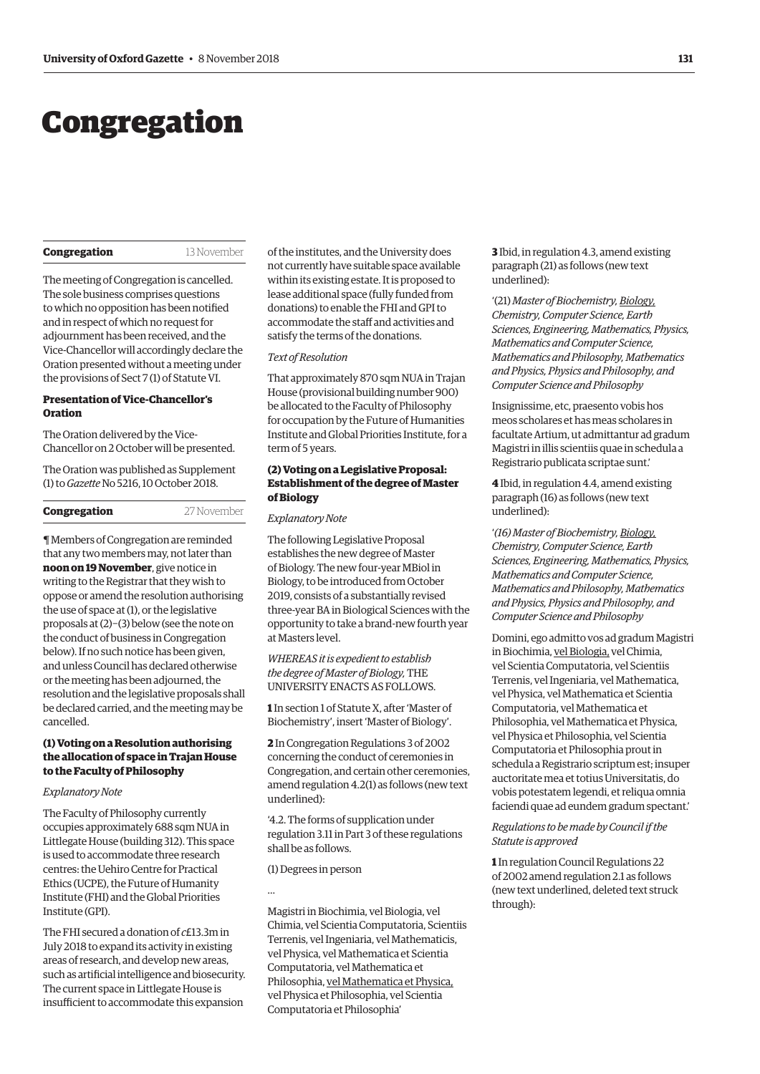# <span id="page-2-0"></span>Congregation

#### **Congregation** 13 November

The meeting of Congregation is cancelled. The sole business comprises questions to which no opposition has been notified and in respect of which no request for adjournment has been received, and the Vice-Chancellor will accordingly declare the Oration presented without a meeting under the provisions of Sect 7 (1) of Statute VI.

#### **Presentation of Vice-Chancellor's Oration**

The Oration delivered by the Vice-Chancellor on 2 October will be presented.

[The Oration was published as Supplement](https://gazette.web.ox.ac.uk/files/vice-chancellorsoration2018-1tono5216pdf)  (1) to *Gazette* No 5216, 10 October 2018.

# **Congregation** 27 November

¶ Members of Congregation are reminded that any two members may, not later than **noon on 19 November**, give notice in writing to the Registrar that they wish to oppose or amend the resolution authorising the use of space at (1), or the legislative proposals at (2)−(3) below (see the note on the conduct of business in Congregation below). If no such notice has been given, and unless Council has declared otherwise or the meeting has been adjourned, the resolution and the legislative proposals shall be declared carried, and the meeting may be cancelled.

# **(1) Voting on a Resolution authorising the allocation of space in Trajan House to the Faculty of Philosophy**

#### *Explanatory Note*

The Faculty of Philosophy currently occupies approximately 688 sqm NUA in Littlegate House (building 312). This space is used to accommodate three research centres: the Uehiro Centre for Practical Ethics (UCPE), the Future of Humanity Institute (FHI) and the Global Priorities Institute (GPI).

The FHI secured a donation of *c*£13.3m in July 2018 to expand its activity in existing areas of research, and develop new areas, such as artificial intelligence and biosecurity. The current space in Littlegate House is insufficient to accommodate this expansion

of the institutes, and the University does not currently have suitable space available within its existing estate. It is proposed to lease additional space (fully funded from donations) to enable the FHI and GPI to accommodate the staff and activities and satisfy the terms of the donations.

#### *Text of Resolution*

That approximately 870 sqm NUA in Trajan House (provisional building number 900) be allocated to the Faculty of Philosophy for occupation by the Future of Humanities Institute and Global Priorities Institute, for a term of 5 years.

# **(2) Voting on a Legislative Proposal: Establishment of the degree of Master of Biology**

#### *Explanatory Note*

The following Legislative Proposal establishes the new degree of Master of Biology. The new four-year MBiol in Biology, to be introduced from October 2019, consists of a substantially revised three-year BA in Biological Sciences with the opportunity to take a brand-new fourth year at Masters level.

*WHEREAS it is expedient to establish the degree of Master of Biology,* THE UNIVERSITY ENACTS AS FOLLOWS.

**1** In section 1 of Statute X, after 'Master of Biochemistry', insert 'Master of Biology'.

**2** In Congregation Regulations 3 of 2002 concerning the conduct of ceremonies in Congregation, and certain other ceremonies, amend regulation 4.2(1) as follows (new text underlined):

'4.2. The forms of supplication under regulation 3.11 in Part 3 of these regulations shall be as follows.

(1) Degrees in person

…

Magistri in Biochimia, vel Biologia, vel Chimia, vel Scientia Computatoria, Scientiis Terrenis, vel Ingeniaria, vel Mathematicis, vel Physica, vel Mathematica et Scientia Computatoria, vel Mathematica et Philosophia, vel Mathematica et Physica, vel Physica et Philosophia, vel Scientia Computatoria et Philosophia'

**3** Ibid, in regulation 4.3, amend existing paragraph (21) as follows (new text underlined):

'(21) *Master of Biochemistry, Biology, Chemistry, Computer Science, Earth Sciences, Engineering, Mathematics, Physics, Mathematics and Computer Science, Mathematics and Philosophy, Mathematics and Physics, Physics and Philosophy, and Computer Science and Philosophy*

Insignissime, etc, praesento vobis hos meos scholares et has meas scholares in facultate Artium, ut admittantur ad gradum Magistri in illis scientiis quae in schedula a Registrario publicata scriptae sunt.'

**4** Ibid, in regulation 4.4, amend existing paragraph (16) as follows (new text underlined):

'*(16) Master of Biochemistry, Biology, Chemistry, Computer Science, Earth Sciences, Engineering, Mathematics, Physics, Mathematics and Computer Science, Mathematics and Philosophy, Mathematics and Physics, Physics and Philosophy, and Computer Science and Philosophy*

Domini, ego admitto vos ad gradum Magistri in Biochimia, vel Biologia, vel Chimia, vel Scientia Computatoria, vel Scientiis Terrenis, vel Ingeniaria, vel Mathematica, vel Physica, vel Mathematica et Scientia Computatoria, vel Mathematica et Philosophia, vel Mathematica et Physica, vel Physica et Philosophia, vel Scientia Computatoria et Philosophia prout in schedula a Registrario scriptum est; insuper auctoritate mea et totius Universitatis, do vobis potestatem legendi, et reliqua omnia faciendi quae ad eundem gradum spectant.'

## *Regulations to be made by Council if the Statute is approved*

**1** In regulation Council Regulations 22 of 2002 amend regulation 2.1 as follows (new text underlined, deleted text struck through):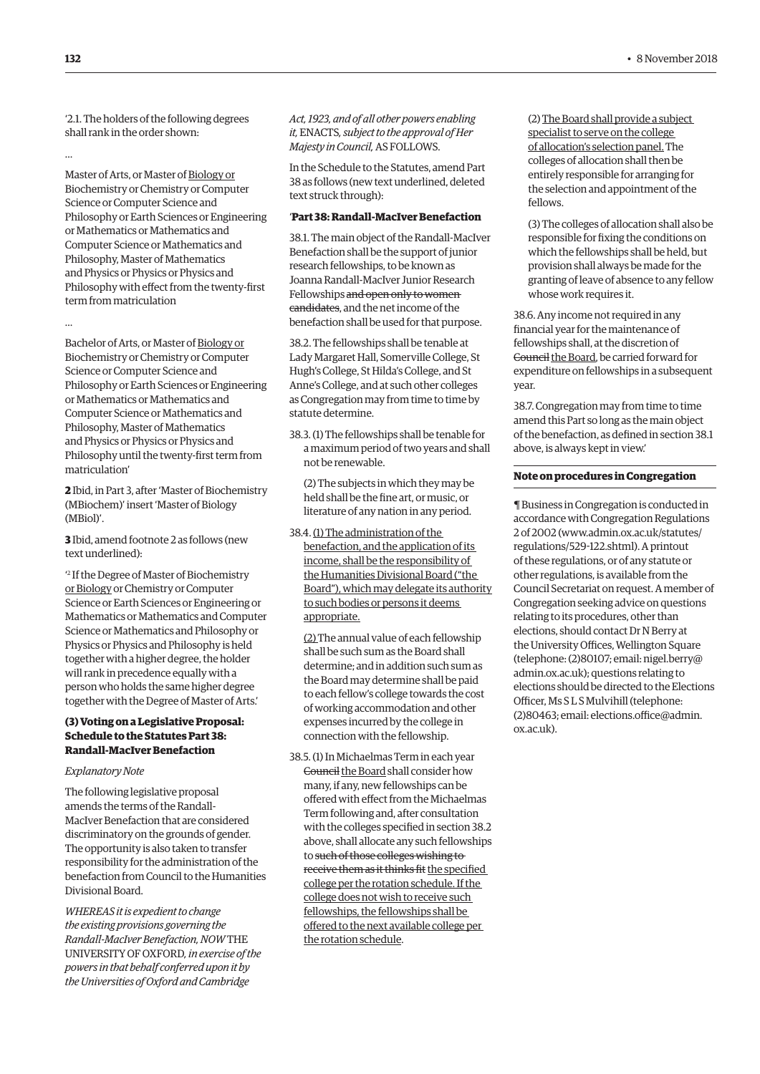'2.1. The holders of the following degrees shall rank in the order shown:

Master of Arts, or Master of Biology or Biochemistry or Chemistry or Computer Science or Computer Science and Philosophy or Earth Sciences or Engineering or Mathematics or Mathematics and Computer Science or Mathematics and Philosophy, Master of Mathematics and Physics or Physics or Physics and Philosophy with effect from the twenty-first term from matriculation

…

Bachelor of Arts, or Master of Biology or Biochemistry or Chemistry or Computer Science or Computer Science and Philosophy or Earth Sciences or Engineering or Mathematics or Mathematics and Computer Science or Mathematics and Philosophy, Master of Mathematics and Physics or Physics or Physics and Philosophy until the twenty-first term from matriculation'

**2** Ibid, in Part 3, after 'Master of Biochemistry (MBiochem)' insert 'Master of Biology (MBiol)'.

**3** Ibid, amend footnote 2 as follows (new text underlined):

' 2 If the Degree of Master of Biochemistry or Biology or Chemistry or Computer Science or Earth Sciences or Engineering or Mathematics or Mathematics and Computer Science or Mathematics and Philosophy or Physics or Physics and Philosophy is held together with a higher degree, the holder will rank in precedence equally with a person who holds the same higher degree together with the Degree of Master of Arts.'

# **(3) Voting on a Legislative Proposal: Schedule to the Statutes Part 38: Randall-MacIver Benefaction**

#### *Explanatory Note*

The following legislative proposal amends the terms of the Randall-MacIver Benefaction that are considered discriminatory on the grounds of gender. The opportunity is also taken to transfer responsibility for the administration of the benefaction from Council to the Humanities Divisional Board.

*WHEREAS it is expedient to change the existing provisions governing the Randall-MacIver Benefaction, NOW* THE UNIVERSITY OF OXFORD*, in exercise of the powers in that behalf conferred upon it by the Universities of Oxford and Cambridge* 

*Act, 1923, and of all other powers enabling it,* ENACTS*, subject to the approval of Her Majesty in Council,* AS FOLLOWS.

In the Schedule to the Statutes, amend Part 38 as follows (new text underlined, deleted text struck through):

# '**Part 38: Randall-MacIver Benefaction**

38.1. The main object of the Randall-MacIver Benefaction shall be the support of junior research fellowships, to be known as Joanna Randall-MacIver Junior Research Fellowships and open only to women candidates, and the net income of the benefaction shall be used for that purpose.

38.2. The fellowships shall be tenable at Lady Margaret Hall, Somerville College, St Hugh's College, St Hilda's College, and St Anne's College, and at such other colleges as Congregation may from time to time by statute determine.

38.3. (1) The fellowships shall be tenable for a maximum period of two years and shall not be renewable.

(2) The subjects in which they may be held shall be the fine art, or music, or literature of any nation in any period.

38.4. (1) The administration of the benefaction, and the application of its income, shall be the responsibility of the Humanities Divisional Board ("the Board"), which may delegate its authority to such bodies or persons it deems appropriate.

(2) The annual value of each fellowship shall be such sum as the Board shall determine; and in addition such sum as the Board may determine shall be paid to each fellow's college towards the cost of working accommodation and other expenses incurred by the college in connection with the fellowship.

38.5. (1) In Michaelmas Term in each year Gouncil the Board shall consider how many, if any, new fellowships can be offered with effect from the Michaelmas Term following and, after consultation with the colleges specified in section 38.2 above, shall allocate any such fellowships to such of those colleges wishing to receive them as it thinks fit the specified college per the rotation schedule. If the college does not wish to receive such fellowships, the fellowships shall be offered to the next available college per the rotation schedule.

(2) The Board shall provide a subject specialist to serve on the college of allocation's selection panel. The colleges of allocation shall then be entirely responsible for arranging for the selection and appointment of the fellows.

(3) The colleges of allocation shall also be responsible for fixing the conditions on which the fellowships shall be held, but provision shall always be made for the granting of leave of absence to any fellow whose work requires it.

38.6. Any income not required in any financial year for the maintenance of fellowships shall, at the discretion of Gouncil the Board, be carried forward for expenditure on fellowships in a subsequent year.

38.7. Congregation may from time to time amend this Part so long as the main object of the benefaction, as defined in section 38.1 above, is always kept in view.'

## **Note on procedures in Congregation**

¶ Business in Congregation is conducted in accordance with Congregation Regulations 2 of 2002 [\(www.admin.ox.ac.uk/statutes/](http://www.admin.ox.ac.uk/statutes/regulations/529-122.shtml) [regulations/529-122.shtml\). A p](http://www.admin.ox.ac.uk/statutes/regulations/529-122.shtml)rintout of these regulations, or of any statute or other regulations, is available from the Council Secretariat on request. A member of Congregation seeking advice on questions relating to its procedures, other than elections, should contact Dr N Berry at the University Offices, Wellington Square [\(telephone: \(2\)80107; email: nigel.berry@](mailto:nigel.berry@admin.ox.ac.uk) admin.ox.ac.uk); questions relating to elections should be directed to the Elections Officer, Ms S L S Mulvihill (telephone: [\(2\)80463; email: elections.office@admin.](mailto:elections.office@admin.ox.ac.uk) ox.ac.uk).

…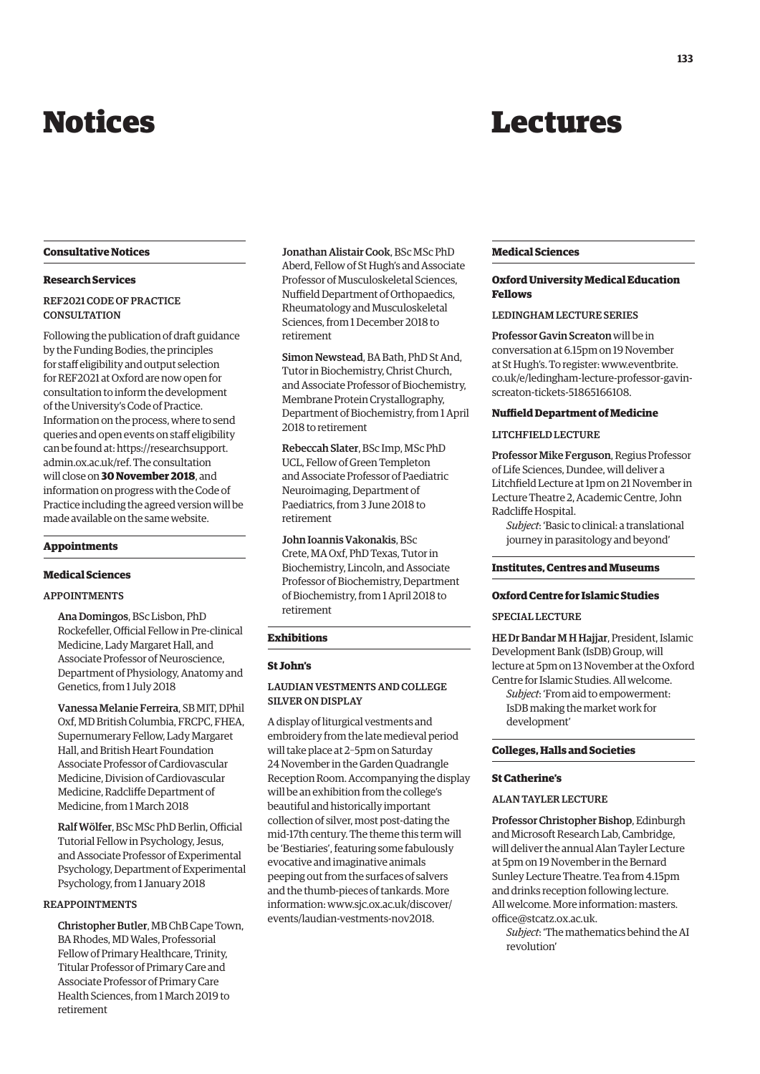# <span id="page-4-0"></span>Notices

# Lectures

#### **Consultative Notices**

## **Research Services**

# REF2021 CODE OF PRACTICE **CONSULTATION**

Following the publication of draft guidance by the Funding Bodies, the principles for staff eligibility and output selection for REF2021 at Oxford are now open for consultation to inform the development of the University's Code of Practice. Information on the process, where to send queries and open events on staff eligibility [can be found at: https://researchsupport.](https://researchsupport.admin.ox.ac.uk/ref) admin.ox.ac.uk/ref. The consultation will close on **30 November 2018**, and information on progress with the Code of Practice including the agreed version will be made available on the same website.

#### **Appointments**

#### **Medical Sciences**

# APPOINTMENTS

Ana Domingos, BSc Lisbon, PhD Rockefeller, Official Fellow in Pre-clinical Medicine, Lady Margaret Hall, and Associate Professor of Neuroscience, Department of Physiology, Anatomy and Genetics, from 1 July 2018

Vanessa Melanie Ferreira, SB MIT, DPhil Oxf, MD British Columbia, FRCPC, FHEA, Supernumerary Fellow, Lady Margaret Hall, and British Heart Foundation Associate Professor of Cardiovascular Medicine, Division of Cardiovascular Medicine, Radcliffe Department of Medicine, from 1 March 2018

Ralf Wölfer, BSc MSc PhD Berlin, Official Tutorial Fellow in Psychology, Jesus, and Associate Professor of Experimental Psychology, Department of Experimental Psychology, from 1 January 2018

# REAPPOINTMENTS

Christopher Butler, MB ChB Cape Town, BA Rhodes, MD Wales, Professorial Fellow of Primary Healthcare, Trinity, Titular Professor of Primary Care and Associate Professor of Primary Care Health Sciences, from 1 March 2019 to retirement

Jonathan Alistair Cook, BSc MSc PhD Aberd, Fellow of St Hugh's and Associate Professor of Musculoskeletal Sciences, Nuffield Department of Orthopaedics, Rheumatology and Musculoskeletal Sciences, from 1 December 2018 to retirement

Simon Newstead, BA Bath, PhD St And, Tutor in Biochemistry, Christ Church, and Associate Professor of Biochemistry, Membrane Protein Crystallography, Department of Biochemistry, from 1 April 2018 to retirement

Rebeccah Slater, BSc Imp, MSc PhD UCL, Fellow of Green Templeton and Associate Professor of Paediatric Neuroimaging, Department of Paediatrics, from 3 June 2018 to retirement

John Ioannis Vakonakis, BSc Crete, MA Oxf, PhD Texas, Tutor in Biochemistry, Lincoln, and Associate Professor of Biochemistry, Department of Biochemistry, from 1 April 2018 to retirement

# **Exhibitions**

#### **St John's**

# LAUDIAN VESTMENTS AND COLLEGE SILVER ON DISPLAY

A display of liturgical vestments and embroidery from the late medieval period will take place at 2–5pm on Saturday 24 November in the Garden Quadrangle Reception Room. Accompanying the display will be an exhibition from the college's beautiful and historically important collection of silver, most post-dating the mid-17th century. The theme this term will be 'Bestiaries', featuring some fabulously evocative and imaginative animals peeping out from the surfaces of salvers and the thumb-pieces of tankards. More [information: www.sjc.ox.ac.uk/discover/](www.sjc.ox.ac.uk/discover/events/laudian-vestments-nov2018) events/laudian-vestments-nov2018.

#### **Medical Sciences**

## **Oxford University Medical Education Fellows**

# LEDINGHAM LECTURE SERIES

Professor Gavin Screaton will be in conversation at 6.15pm on 19 November at St Hugh's. To register: www.eventbrite. [co.uk/e/ledingham-lecture-professor-gavin](www.eventbrite.co.uk/e/ledingham-lecture-professor-gavin-screaton-tickets-51865166108)screaton-tickets-51865166108.

#### **Nuffield Department of Medicine**

#### LITCHFIELD LECTURE

Professor Mike Ferguson, Regius Professor of Life Sciences, Dundee, will deliver a Litchfield Lecture at 1pm on 21 November in Lecture Theatre 2, Academic Centre, John Radcliffe Hospital.

*Subject*: 'Basic to clinical: a translational journey in parasitology and beyond'

#### **Institutes, Centres and Museums**

# **Oxford Centre for Islamic Studies**

#### SPECIAL LECTURE

HE Dr Bandar M H Hajjar, President, Islamic Development Bank (IsDB) Group, will lecture at 5pm on 13 November at the Oxford Centre for Islamic Studies. All welcome. *Subject*: 'From aid to empowerment: IsDB making the market work for development'

# **Colleges, Halls and Societies**

#### **St Catherine's**

## ALAN TAYLER LECTURE

Professor Christopher Bishop, Edinburgh and Microsoft Research Lab, Cambridge, will deliver the annual Alan Tayler Lecture at 5pm on 19 November in the Bernard Sunley Lecture Theatre. Tea from 4.15pm and drinks reception following lecture. [All welcome. More information: masters.](mailto:masters.office@stcatz.ox.ac.uk) office@stcatz.ox.ac.uk.

*Subject*: 'The mathematics behind the AI revolution'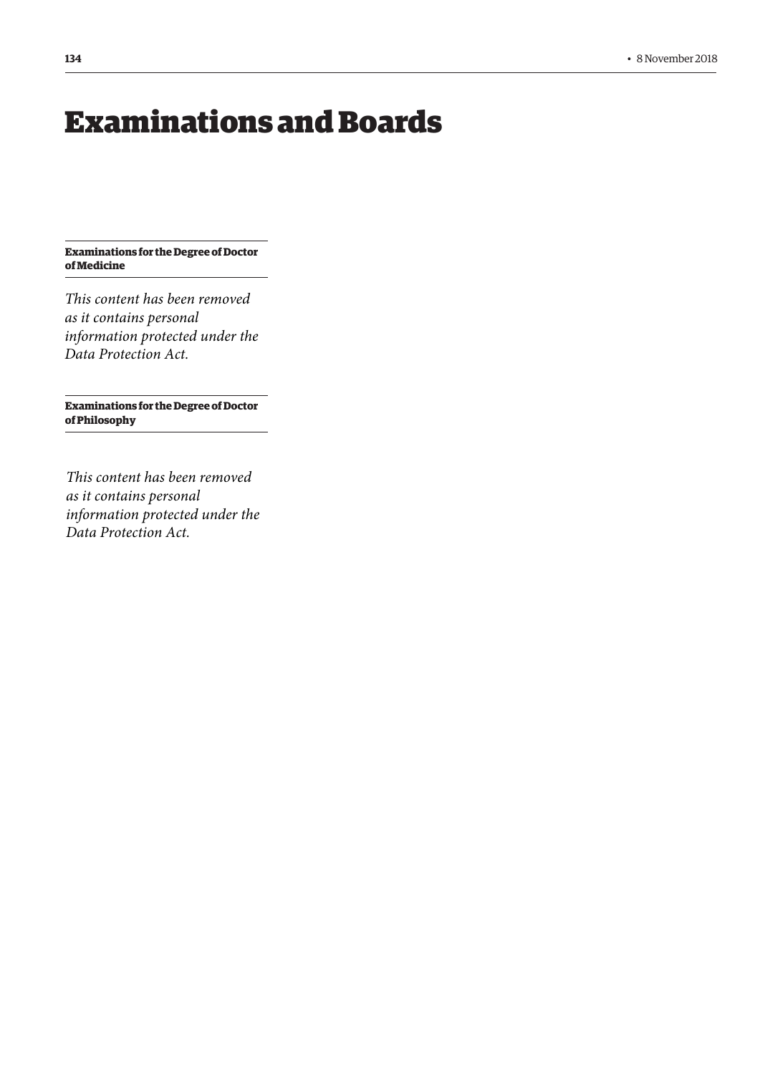# <span id="page-5-0"></span>Examinations and Boards

**Examinations for the Degree of Doctor of Medicine**

*This content has been removed as it contains personal information protected under the Data Protection Act.*

**Examinations for the Degree of Doctor of Philosophy**

*This content has been removed as it contains personal information protected under the Data Protection Act.*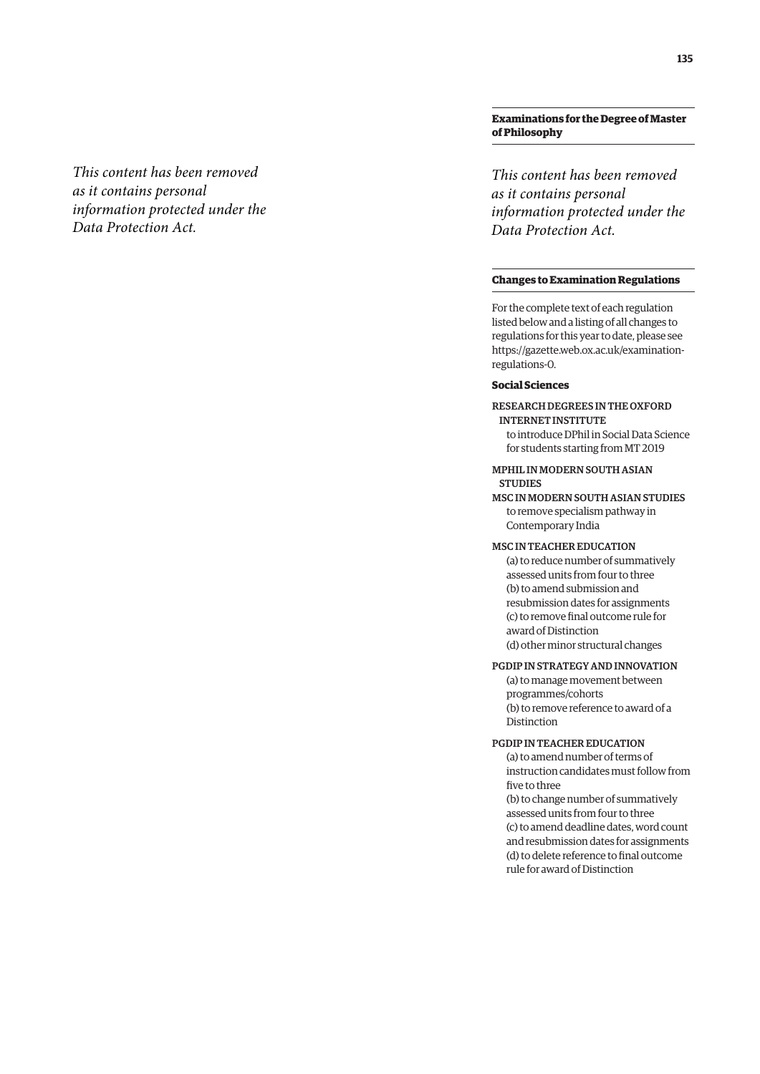# **Examinations for the Degree of Master of Philosophy**

*This content has been removed as it contains personal information protected under the Data Protection Act.*

# **Changes to Examination Regulations**

For the complete text of each regulation listed below and a listing of all changes to regulations for this year to date, please see [https://gazette.web.ox.ac.uk/examination](https://gazette.web.ox.ac.uk/examination-regulations-0)regulations-0.

# **Social Sciences**

RESEARCH DEGREES IN THE OXFORD INTERNET INSTITUTE to introduce DPhil in Social Data Science for students starting from MT 2019

## MPHIL IN MODERN SOUTH ASIAN **STUDIES**

MSC IN MODERN SOUTH ASIAN STUDIES to remove specialism pathway in Contemporary India

#### MSC IN TEACHER EDUCATION

(a) to reduce number of summatively assessed units from four to three (b) to amend submission and resubmission dates for assignments (c) to remove final outcome rule for award of Distinction (d) other minor structural changes

# PGDIP IN STRATEGY AND INNOVATION

(a) to manage movement between programmes/cohorts (b) to remove reference to award of a Distinction

# PGDIP IN TEACHER EDUCATION

(a) to amend number of terms of instruction candidates must follow from five to three

(b) to change number of summatively assessed units from four to three (c) to amend deadline dates, word count and resubmission dates for assignments (d) to delete reference to final outcome rule for award of Distinction

# *This content has been removed as it contains personal information protected under the Data Protection Act.*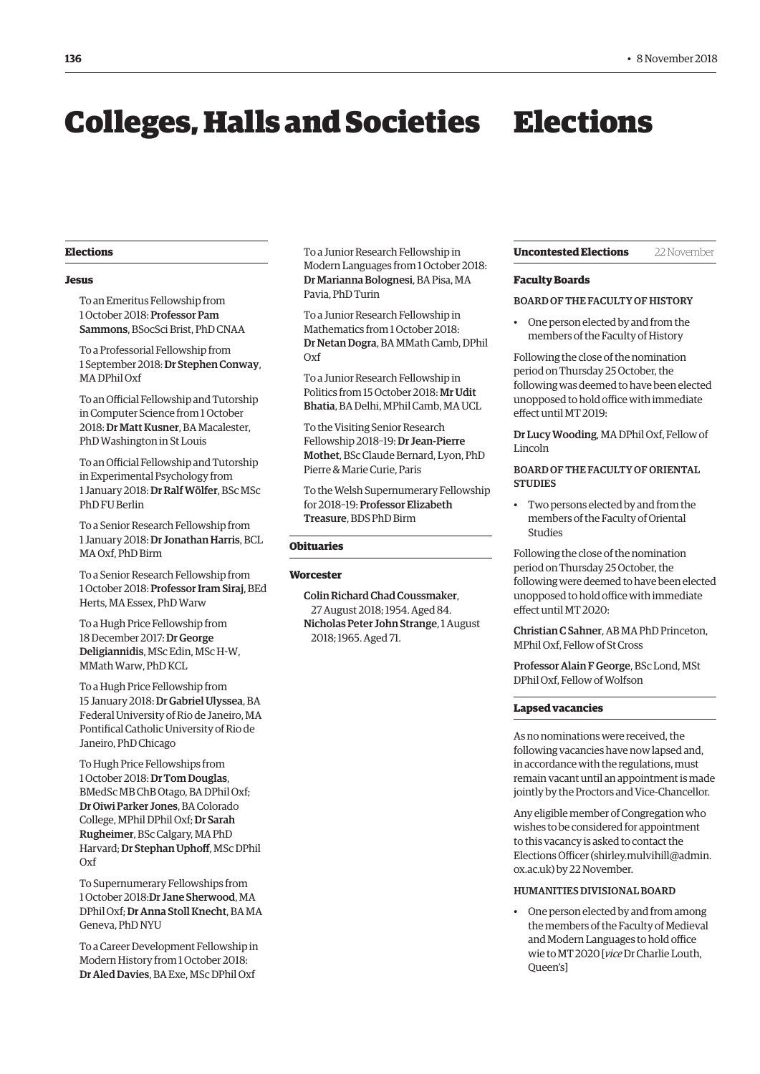# <span id="page-7-0"></span>Colleges, Halls and Societies Elections

#### **Elections**

#### **Jesus**

To an Emeritus Fellowship from 1 October 2018: Professor Pam Sammons, BSocSci Brist, PhD CNAA

To a Professorial Fellowship from 1 September 2018: Dr Stephen Conway, MA DPhil Oxf

To an Official Fellowship and Tutorship in Computer Science from 1 October 2018: Dr Matt Kusner, BA Macalester, PhD Washington in St Louis

To an Official Fellowship and Tutorship in Experimental Psychology from 1 January 2018: Dr Ralf Wölfer, BSc MSc PhD FU Berlin

To a Senior Research Fellowship from 1 January 2018: Dr Jonathan Harris, BCL MA Oxf, PhD Birm

To a Senior Research Fellowship from 1 October 2018: Professor Iram Siraj, BEd Herts, MA Essex, PhD Warw

To a Hugh Price Fellowship from 18 December 2017: Dr George Deligiannidis, MSc Edin, MSc H-W, MMath Warw, PhD KCL

To a Hugh Price Fellowship from 15 January 2018: Dr Gabriel Ulyssea, BA Federal University of Rio de Janeiro, MA Pontifical Catholic University of Rio de Janeiro, PhD Chicago

To Hugh Price Fellowships from 1 October 2018: Dr Tom Douglas, BMedSc MB ChB Otago, BA DPhil Oxf; Dr Oiwi Parker Jones, BA Colorado College, MPhil DPhil Oxf; Dr Sarah Rugheimer, BSc Calgary, MA PhD Harvard; Dr Stephan Uphoff, MSc DPhil Oxf

To Supernumerary Fellowships from 1 October 2018:Dr Jane Sherwood, MA DPhil Oxf; Dr Anna Stoll Knecht, BA MA Geneva, PhD NYU

To a Career Development Fellowship in Modern History from 1 October 2018: Dr Aled Davies, BA Exe, MSc DPhil Oxf

To a Junior Research Fellowship in Modern Languages from 1 October 2018: Dr Marianna Bolognesi, BA Pisa, MA Pavia, PhD Turin

To a Junior Research Fellowship in Mathematics from 1 October 2018: Dr Netan Dogra, BA MMath Camb, DPhil Oxf

To a Junior Research Fellowship in Politics from 15 October 2018: Mr Udit Bhatia, BA Delhi, MPhil Camb, MA UCL

To the Visiting Senior Research Fellowship 2018–19: Dr Jean-Pierre Mothet, BSc Claude Bernard, Lyon, PhD Pierre & Marie Curie, Paris

To the Welsh Supernumerary Fellowship for 2018–19: Professor Elizabeth Treasure, BDS PhD Birm

#### **Obituaries**

#### **Worcester**

Colin Richard Chad Coussmaker, 27 August 2018; 1954. Aged 84. Nicholas Peter John Strange, 1 August 2018; 1965. Aged 71.

**Uncontested Elections** 22 November

# **Faculty Boards**

#### BOARD OF THE FACULTY OF HISTORY

• One person elected by and from the members of the Faculty of History

Following the close of the nomination period on Thursday 25 October, the following was deemed to have been elected unopposed to hold office with immediate effect until MT 2019:

Dr Lucy Wooding, MA DPhil Oxf, Fellow of Lincoln

# BOARD OF THE FACULTY OF ORIENTAL **STUDIES**

• Two persons elected by and from the members of the Faculty of Oriental Studies

Following the close of the nomination period on Thursday 25 October, the following were deemed to have been elected unopposed to hold office with immediate effect until MT 2020:

Christian C Sahner, AB MA PhD Princeton, MPhil Oxf, Fellow of St Cross

Professor Alain F George, BSc Lond, MSt DPhil Oxf, Fellow of Wolfson

#### **Lapsed vacancies**

As no nominations were received, the following vacancies have now lapsed and, in accordance with the regulations, must remain vacant until an appointment is made jointly by the Proctors and Vice-Chancellor.

Any eligible member of Congregation who wishes to be considered for appointment to this vacancy is asked to contact the Elections Officer [\(shirley.mulvihill@admin.](mailto:shirley.mulvihill@admin.ox.ac.uk)  [ox.ac.uk\) by](mailto:shirley.mulvihill@admin.ox.ac.uk) 22 November.

## HUMANITIES DIVISIONAL BOARD

• One person elected by and from among the members of the Faculty of Medieval and Modern Languages to hold office wie to MT 2020 [*vice* Dr Charlie Louth, Queen's]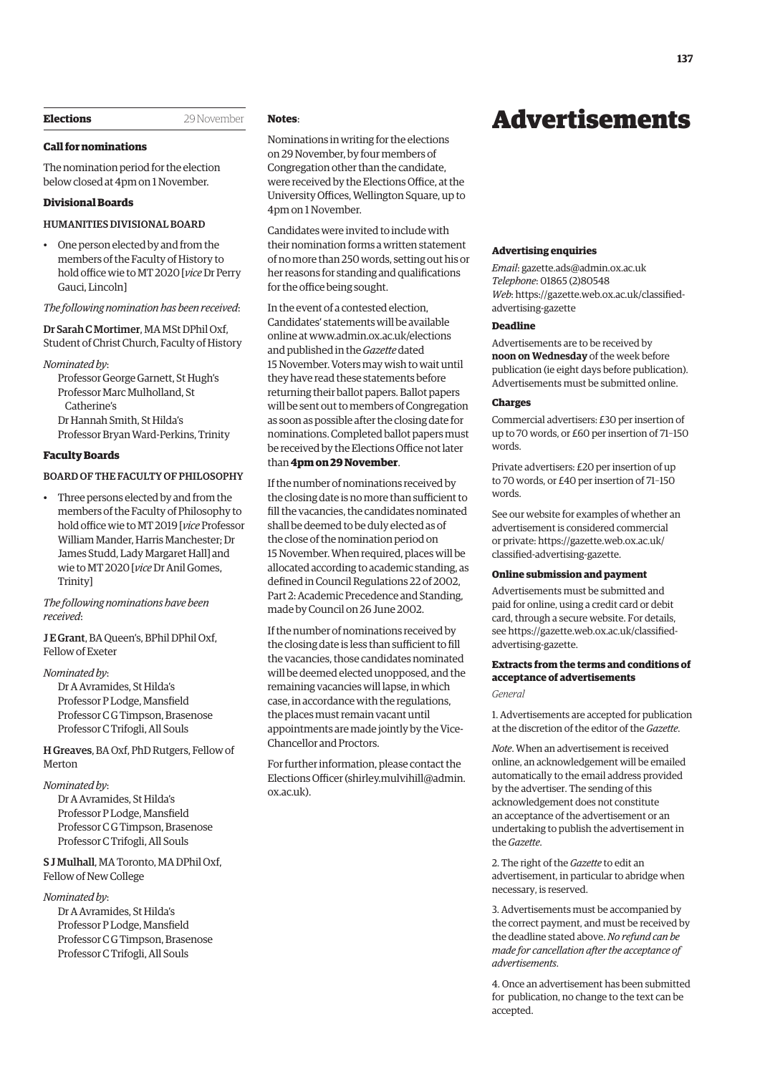#### <span id="page-8-0"></span>**Elections** 29 November

#### **Call for nominations**

The nomination period for the election below closed at 4pm on 1 November.

# **Divisional Boards**

# HUMANITIES DIVISIONAL BOARD

• One person elected by and from the members of the Faculty of History to hold office wie to MT 2020 [*vice* Dr Perry Gauci, Lincoln]

#### *The following nomination has been received*:

Dr Sarah C Mortimer, MA MSt DPhil Oxf, Student of Christ Church, Faculty of History

*Nominated by*:

Professor George Garnett, St Hugh's Professor Marc Mulholland, St Catherine's Dr Hannah Smith, St Hilda's Professor Bryan Ward-Perkins, Trinity

#### **Faculty Boards**

#### BOARD OF THE FACULTY OF PHILOSOPHY

• Three persons elected by and from the members of the Faculty of Philosophy to hold office wie to MT 2019 [*vice* Professor William Mander, Harris Manchester; Dr James Studd, Lady Margaret Hall] and wie to MT 2020 [*vice* Dr Anil Gomes, Trinity]

*The following nominations have been received*:

J E Grant, BA Queen's, BPhil DPhil Oxf, Fellow of Exeter

#### *Nominated by*:

Dr A Avramides, St Hilda's Professor P Lodge, Mansfield Professor C G Timpson, Brasenose Professor C Trifogli, All Souls

H Greaves, BA Oxf, PhD Rutgers, Fellow of Merton

#### *Nominated by*:

Dr A Avramides, St Hilda's Professor P Lodge, Mansfield Professor C G Timpson, Brasenose Professor C Trifogli, All Souls

S J Mulhall, MA Toronto, MA DPhil Oxf, Fellow of New College

#### *Nominated by*:

Dr A Avramides, St Hilda's Professor P Lodge, Mansfield Professor C G Timpson, Brasenose Professor C Trifogli, All Souls

# **Notes**:

Nominations in writing for the elections on 29 November, by four members of Congregation other than the candidate, were received by the Elections Office, at the University Offices, Wellington Square, up to 4pm on 1 November.

Candidates were invited to include with their nomination forms a written statement of no more than 250 words, setting out his or her reasons for standing and qualifications for the office being sought.

In the event of a contested election, Candidates' statements will be available online at [www.admin.ox.ac.uk/elections](http://www.admin.ox.ac.uk/elections)  and published in the *Gazette* dated 15 November. Voters may wish to wait until they have read these statements before returning their ballot papers. Ballot papers will be sent out to members of Congregation as soon as possible after the closing date for nominations. Completed ballot papers must be received by the Elections Office not later than **4pm on 29 November**.

If the number of nominations received by the closing date is no more than sufficient to fill the vacancies, the candidates nominated shall be deemed to be duly elected as of the close of the nomination period on 15 November. When required, places will be allocated according to academic standing, as defined in Council Regulations 22 of 2002, Part 2: Academic Precedence and Standing, made by Council on 26 June 2002.

If the number of nominations received by the closing date is less than sufficient to fill the vacancies, those candidates nominated will be deemed elected unopposed, and the remaining vacancies will lapse, in which case, in accordance with the regulations, the places must remain vacant until appointments are made jointly by the Vice-Chancellor and Proctors.

For further information, please contact the Elections Officer ([shirley.mulvihill@admin.](mailto:shirley.mulvihill@admin.ox.ac.uk) [ox.ac.uk\).](mailto:shirley.mulvihill@admin.ox.ac.uk)

# Advertisements

#### **Advertising enquiries**

*Email*: [gazette.ads@admin.ox.ac.uk](mailto:gazette.ads@admin.ox.ac.uk) *Telephone*: 01865 (2)80548 *Web*[: https://gazette.web.ox.ac.uk/classified](https://gazette.web.ox.ac.uk/classified-advertising-gazette)advertising-gazette

#### **Deadline**

Advertisements are to be received by **noon on Wednesday** of the week before publication (ie eight days before publication). Advertisements must be submitted online.

#### **Charges**

Commercial advertisers: £30 per insertion of up to 70 words, or £60 per insertion of 71–150 words.

Private advertisers: £20 per insertion of up to 70 words, or £40 per insertion of 71–150 words.

See our website for examples of whether an advertisement is considered commercial [or private: https://gazette.web.ox.ac.uk/](https://gazette.web.ox.ac.uk/classified-advertising-gazette) classified-advertising-gazette.

#### **Online submission and payment**

Advertisements must be submitted and paid for online, using a credit card or debit card, through a secure website. For details, [see https://gazette.web.ox.ac.uk/classified](https://gazette.web.ox.ac.uk/classified-advertising-gazette)advertising-gazette.

# **Extracts from the terms and conditions of acceptance of advertisements**

#### *General*

1. Advertisements are accepted for publication at the discretion of the editor of the *Gazette*.

*Note*. When an advertisement is received online, an acknowledgement will be emailed automatically to the email address provided by the advertiser. The sending of this acknowledgement does not constitute an acceptance of the advertisement or an undertaking to publish the advertisement in the *Gazette*.

2. The right of the *Gazette* to edit an advertisement, in particular to abridge when necessary, is reserved.

3. Advertisements must be accompanied by the correct payment, and must be received by the deadline stated above. *No refund can be made for cancellation after the acceptance of advertisements*.

4. Once an advertisement has been submitted for publication, no change to the text can be accepted.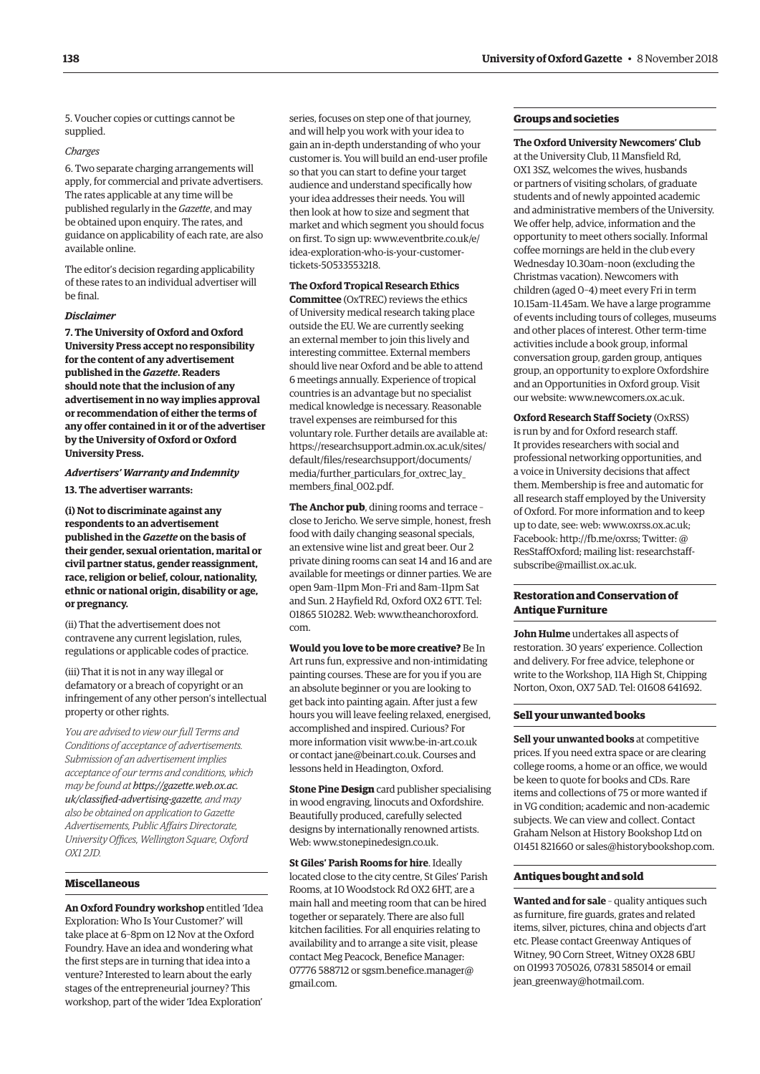5. Voucher copies or cuttings cannot be supplied.

#### *Charges*

6. Two separate charging arrangements will apply, for commercial and private advertisers. The rates applicable at any time will be published regularly in the *Gazette*, and may be obtained upon enquiry. The rates, and guidance on applicability of each rate, are also available online.

The editor's decision regarding applicability of these rates to an individual advertiser will be final.

#### *Disclaimer*

**7. The University of Oxford and Oxford University Press accept no responsibility for the content of any advertisement published in the** *Gazette***. Readers should note that the inclusion of any advertisement in no way implies approval or recommendation of either the terms of any offer contained in it or of the advertiser by the University of Oxford or Oxford University Press.**

*Advertisers' Warranty and Indemnity* **13. The advertiser warrants:**

**(i) Not to discriminate against any respondents to an advertisement published in the** *Gazette* **on the basis of their gender, sexual orientation, marital or civil partner status, gender reassignment, race, religion or belief, colour, nationality, ethnic or national origin, disability or age, or pregnancy.**

(ii) That the advertisement does not contravene any current legislation, rules, regulations or applicable codes of practice.

(iii) That it is not in any way illegal or defamatory or a breach of copyright or an infringement of any other person's intellectual property or other rights.

*You are advised to view our full Terms and Conditions of acceptance of advertisements. Submission of an advertisement implies acceptance of our terms and conditions, which may be found at https://gazette.web.ox.ac. [uk/classified-advertising-gazette](https://gazette.web.ox.ac.uk/classified-advertising-gazette), and may also be obtained on application to Gazette Advertisements, Public Affairs Directorate, University Offices, Wellington Square, Oxford OX1 2JD.*

# **Miscellaneous**

**An Oxford Foundry workshop** entitled 'Idea Exploration: Who Is Your Customer?' will take place at 6–8pm on 12 Nov at the Oxford Foundry. Have an idea and wondering what the first steps are in turning that idea into a venture? Interested to learn about the early stages of the entrepreneurial journey? This workshop, part of the wider 'Idea Exploration'

series, focuses on step one of that journey, and will help you work with your idea to gain an in-depth understanding of who your customer is. You will build an end-user profile so that you can start to define your target audience and understand specifically how your idea addresses their needs. You will then look at how to size and segment that market and which segment you should focus [on first. To sign up: www.eventbrite.co.uk/e/](www.eventbrite.co.uk/e/idea-exploration-who-is-your-customer-tickets-50533553218) idea-exploration-who-is-your-customertickets-50533553218.

## **The Oxford Tropical Research Ethics**

**Committee** (OxTREC) reviews the ethics of University medical research taking place outside the EU. We are currently seeking an external member to join this lively and interesting committee. External members should live near Oxford and be able to attend 6 meetings annually. Experience of tropical countries is an advantage but no specialist medical knowledge is necessary. Reasonable travel expenses are reimbursed for this voluntary role. Further details are available at: [https://researchsupport.admin.ox.ac.uk/sites/](https://researchsupport.admin.ox.ac.uk/sites/default/files/researchsupport/documents/media/further_particulars_for_oxtrec_lay_members_final_002.pdf) default/files/researchsupport/documents/ media/further\_particulars\_for\_oxtrec\_lay\_ members final 002.pdf.

**The Anchor pub**, dining rooms and terrace – close to Jericho. We serve simple, honest, fresh food with daily changing seasonal specials, an extensive wine list and great beer. Our 2 private dining rooms can seat 14 and 16 and are available for meetings or dinner parties. We are open 9am–11pm Mon–Fri and 8am–11pm Sat and Sun. 2 Hayfield Rd, Oxford OX2 6TT. Tel: [01865 510282. Web: www.theanchoroxford.](www.theanchoroxford.com) com.

**Would you love to be more creative?** Be In Art runs fun, expressive and non-intimidating painting courses. These are for you if you are an absolute beginner or you are looking to get back into painting again. After just a few hours you will leave feeling relaxed, energised, accomplished and inspired. Curious? For more information visit [www.be-in-art.co.uk](http://www.be-in-art.co.uk)  or contact [jane@beinart.co.uk. Co](mailto:jane@beinart.co.uk)urses and lessons held in Headington, Oxford.

**Stone Pine Design** card publisher specialising in wood engraving, linocuts and Oxfordshire. Beautifully produced, carefully selected designs by internationally renowned artists. Web: [www.stonepinedesign.co.uk.](http://www.stonepinedesign.co.uk)

**St Giles' Parish Rooms for hire**. Ideally located close to the city centre, St Giles' Parish Rooms, at 10 Woodstock Rd OX2 6HT, are a main hall and meeting room that can be hired together or separately. There are also full kitchen facilities. For all enquiries relating to availability and to arrange a site visit, please contact Meg Peacock, Benefice Manager: [07776 588712 or sgsm.benefice.manager@](mailto:sgsm.benefice.manager@gmail.com) gmail.com.

# **Groups and societies**

**The Oxford University Newcomers' Club**

at the University Club, 11 Mansfield Rd, OX1 3SZ, welcomes the wives, husbands or partners of visiting scholars, of graduate students and of newly appointed academic and administrative members of the University. We offer help, advice, information and the opportunity to meet others socially. Informal coffee mornings are held in the club every Wednesday 10.30am–noon (excluding the Christmas vacation). Newcomers with children (aged 0–4) meet every Fri in term 10.15am–11.45am. We have a large programme of events including tours of colleges, museums and other places of interest. Other term-time activities include a book group, informal conversation group, garden group, antiques group, an opportunity to explore Oxfordshire and an Opportunities in Oxford group. Visit our website: [www.newcomers.ox.ac.uk.](http://www.newcomers.ox.ac.uk) 

**Oxford Research Staff Society** (OxRSS) is run by and for Oxford research staff. It provides researchers with social and professional networking opportunities, and a voice in University decisions that affect them. Membership is free and automatic for all research staff employed by the University of Oxford. For more information and to keep up to date, see: web: [www.oxrss.ox.ac.uk;](http://www.oxrss.ox.ac.uk)  Facebook: [http://fb.me/oxrss; Tw](http://fb.me/oxrss)itter: @ [ResStaffOxford; mailing list: researchstaff](mailto:researchstaff-subscribe@maillist.ox.ac.uk)subscribe@maillist.ox.ac.uk.

## **Restoration and Conservation of Antique Furniture**

**John Hulme** undertakes all aspects of restoration. 30 years' experience. Collection and delivery. For free advice, telephone or write to the Workshop, 11A High St, Chipping Norton, Oxon, OX7 5AD. Tel: 01608 641692.

#### **Sell your unwanted books**

**Sell your unwanted books** at competitive prices. If you need extra space or are clearing college rooms, a home or an office, we would be keen to quote for books and CDs. Rare items and collections of 75 or more wanted if in VG condition; academic and non-academic subjects. We can view and collect. Contact Graham Nelson at History Bookshop Ltd on 01451 821660 or [sales@historybookshop.com.](mailto:sales@historybookshop.com)

#### **Antiques bought and sold**

**Wanted and for sale** – quality antiques such as furniture, fire guards, grates and related items, silver, pictures, china and objects d'art etc. Please contact Greenway Antiques of Witney, 90 Corn Street, Witney OX28 6BU on 01993 705026, 07831 585014 or email [jean\\_greenway@hotmail.com.](mailto:jean_greenway@hotmail.com)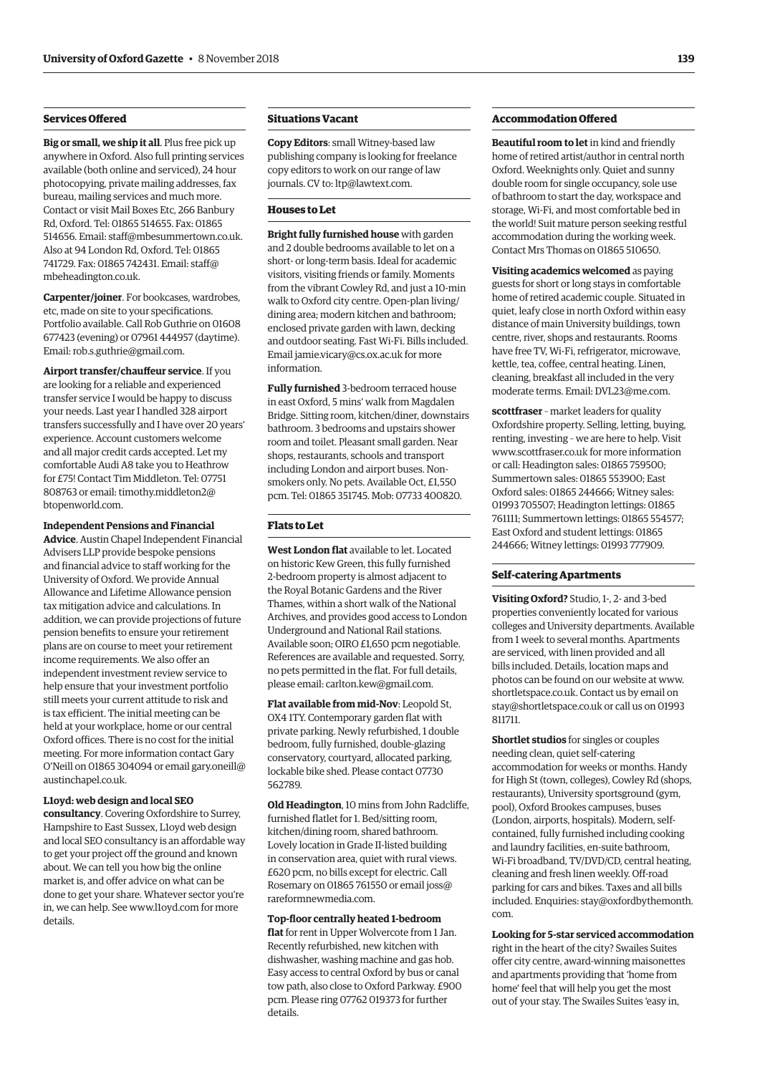# **Services Offered**

**Big or small, we ship it all**. Plus free pick up anywhere in Oxford. Also full printing services available (both online and serviced), 24 hour photocopying, private mailing addresses, fax bureau, mailing services and much more. Contact or visit Mail Boxes Etc, 266 Banbury Rd, Oxford. Tel: 01865 514655. Fax: 01865 514656. Email: [staff@mbesummertown.co.uk.](mailto:staff@mbesummertown.co.uk)  Also at 94 London Rd, Oxford. Tel: 01865 [741729. Fax: 01865 742431. Email: staff@](mailto:staff@mbeheadington.co.uk) mbeheadington.co.uk.

**Carpenter/joiner**. For bookcases, wardrobes, etc, made on site to your specifications. Portfolio available. Call Rob Guthrie on 01608 677423 (evening) or 07961 444957 (daytime). Email: [rob.s.guthrie@gmail.com.](mailto:rob.s.guthrie@gmail.com) 

**Airport transfer/chauffeur service**. If you are looking for a reliable and experienced transfer service I would be happy to discuss your needs. Last year I handled 328 airport transfers successfully and I have over 20 years' experience. Account customers welcome and all major credit cards accepted. Let my comfortable Audi A8 take you to Heathrow for £75! Contact Tim Middleton. Tel: 07751 [808763 or email: timothy.middleton2@](mailto:timothy.middleton2@btopenworld.com) btopenworld.com.

#### **Independent Pensions and Financial**

**Advice**. Austin Chapel Independent Financial Advisers LLP provide bespoke pensions and financial advice to staff working for the University of Oxford. We provide Annual Allowance and Lifetime Allowance pension tax mitigation advice and calculations. In addition, we can provide projections of future pension benefits to ensure your retirement plans are on course to meet your retirement income requirements. We also offer an independent investment review service to help ensure that your investment portfolio still meets your current attitude to risk and is tax efficient. The initial meeting can be held at your workplace, home or our central Oxford offices. There is no cost for the initial meeting. For more information contact Gary [O'Neill on 01865 304094 or email gary.oneill@](mailto:gary.oneill@austinchapel.co.uk) austinchapel.co.uk.

#### **L1oyd: web design and local SEO**

**consultancy**. Covering Oxfordshire to Surrey, Hampshire to East Sussex, L1oyd web design and local SEO consultancy is an affordable way to get your project off the ground and known about. We can tell you how big the online market is, and offer advice on what can be done to get your share. Whatever sector you're in, we can help. See [www.l1oyd.com fo](http://www.l1oyd.com)r more details.

## **Situations Vacant**

**Copy Editors**: small Witney-based law publishing company is looking for freelance copy editors to work on our range of law journals. CV to: [ltp@lawtext.com.](mailto:ltp@lawtext.com)

#### **Houses to Let**

**Bright fully furnished house** with garden and 2 double bedrooms available to let on a short- or long-term basis. Ideal for academic visitors, visiting friends or family. Moments from the vibrant Cowley Rd, and just a 10-min walk to Oxford city centre. Open-plan living/ dining area; modern kitchen and bathroom; enclosed private garden with lawn, decking and outdoor seating. Fast Wi-Fi. Bills included. Email [jamie.vicary@cs.ox.ac.uk for](mailto:jamie.vicary@cs.ox.ac.uk) more information.

**Fully furnished** 3-bedroom terraced house in east Oxford, 5 mins' walk from Magdalen Bridge. Sitting room, kitchen/diner, downstairs bathroom. 3 bedrooms and upstairs shower room and toilet. Pleasant small garden. Near shops, restaurants, schools and transport including London and airport buses. Nonsmokers only. No pets. Available Oct, £1,550 pcm. Tel: 01865 351745. Mob: 07733 400820.

# **Flats to Let**

**West London flat** available to let. Located on historic Kew Green, this fully furnished 2-bedroom property is almost adjacent to the Royal Botanic Gardens and the River Thames, within a short walk of the National Archives, and provides good access to London Underground and National Rail stations. Available soon; OIRO £1,650 pcm negotiable. References are available and requested. Sorry, no pets permitted in the flat. For full details, please email: [carlton.kew@gmail.com.](mailto:carlton.kew@gmail.com)

**Flat available from mid-Nov**: Leopold St, OX4 1TY. Contemporary garden flat with private parking. Newly refurbished, 1 double bedroom, fully furnished, double-glazing conservatory, courtyard, allocated parking, lockable bike shed. Please contact 07730 562789.

**Old Headington**, 10 mins from John Radcliffe, furnished flatlet for 1. Bed/sitting room, kitchen/dining room, shared bathroom. Lovely location in Grade II-listed building in conservation area, quiet with rural views. £620 pcm, no bills except for electric. Call [Rosemary on 01865 761550 or email joss@](mailto:joss@rareformnewmedia.com) rareformnewmedia.com.

**Top-floor centrally heated 1-bedroom flat** for rent in Upper Wolvercote from 1 Jan. Recently refurbished, new kitchen with dishwasher, washing machine and gas hob. Easy access to central Oxford by bus or canal tow path, also close to Oxford Parkway. £900 pcm. Please ring 07762 019373 for further details.

## **Accommodation Offered**

**Beautiful room to let** in kind and friendly home of retired artist/author in central north Oxford. Weeknights only. Quiet and sunny double room for single occupancy, sole use of bathroom to start the day, workspace and storage, Wi-Fi, and most comfortable bed in the world! Suit mature person seeking restful accommodation during the working week. Contact Mrs Thomas on 01865 510650.

**Visiting academics welcomed** as paying guests for short or long stays in comfortable home of retired academic couple. Situated in quiet, leafy close in north Oxford within easy distance of main University buildings, town centre, river, shops and restaurants. Rooms have free TV, Wi-Fi, refrigerator, microwave, kettle, tea, coffee, central heating. Linen, cleaning, breakfast all included in the very moderate terms. Email: [DVL23@me.com.](mailto:DVL23@me.com)

**scottfraser** – market leaders for quality Oxfordshire property. Selling, letting, buying, renting, investing – we are here to help. Visit [www.scottfraser.co.uk for](http://www.scottfraser.co.uk) more information or call: Headington sales: 01865 759500; Summertown sales: 01865 553900; East Oxford sales: 01865 244666; Witney sales: 01993 705507; Headington lettings: 01865 761111; Summertown lettings: 01865 554577; East Oxford and student lettings: 01865 244666; Witney lettings: 01993 777909.

#### **Self-catering Apartments**

**Visiting Oxford?** Studio, 1-, 2- and 3-bed properties conveniently located for various colleges and University departments. Available from 1 week to several months. Apartments are serviced, with linen provided and all bills included. Details, location maps and photos can be found on our website at [www.](http://www.shortletspace.co.uk) [shortletspace.co.uk. Co](http://www.shortletspace.co.uk)ntact us by email on [stay@shortletspace.co.uk or](mailto:stay@shortletspace.co.uk) call us on 01993 811711.

**Shortlet studios** for singles or couples needing clean, quiet self-catering accommodation for weeks or months. Handy for High St (town, colleges), Cowley Rd (shops, restaurants), University sportsground (gym, pool), Oxford Brookes campuses, buses (London, airports, hospitals). Modern, selfcontained, fully furnished including cooking and laundry facilities, en-suite bathroom, Wi-Fi broadband, TV/DVD/CD, central heating, cleaning and fresh linen weekly. Off-road parking for cars and bikes. Taxes and all bills [included. Enquiries: stay@oxfordbythemonth.](mailto:stay@oxfordbythemonth.com) com.

**Looking for 5-star serviced accommodation** right in the heart of the city? Swailes Suites offer city centre, award-winning maisonettes and apartments providing that 'home from home' feel that will help you get the most out of your stay. The Swailes Suites 'easy in,